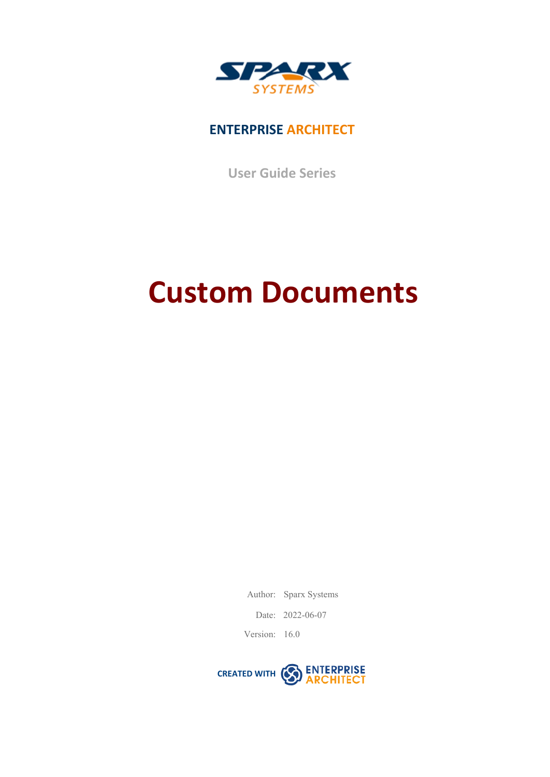

# **ENTERPRISE ARCHITECT**

**User Guide Series**

# **Custom Documents**

Author: Sparx Systems

Date: 2022-06-07

Version: 16.0

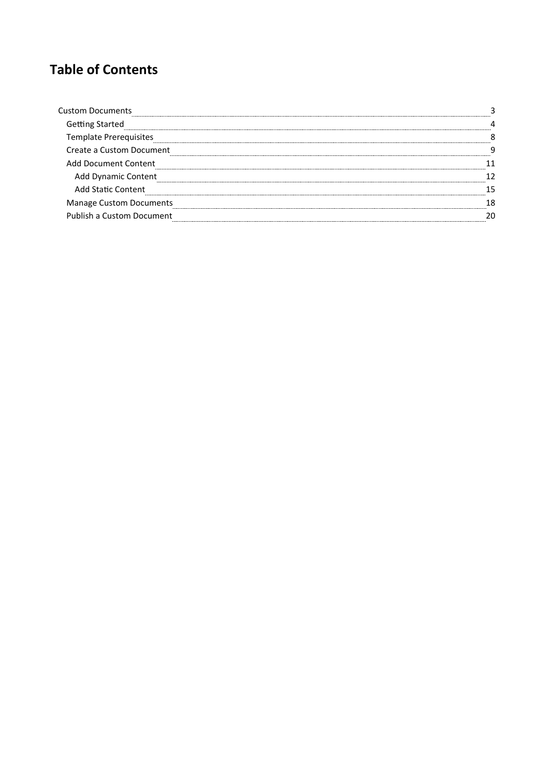# **Table of Contents**

| <b>Custom Documents</b>        |  |
|--------------------------------|--|
| ting Started                   |  |
| Template Prerequisites         |  |
| Create a Custom Document       |  |
| <b>Add Document Content</b>    |  |
| <b>Add Dynamic Content</b>     |  |
| Add Static Content             |  |
| <b>Manage Custom Documents</b> |  |
| Publish a Custom Document      |  |
|                                |  |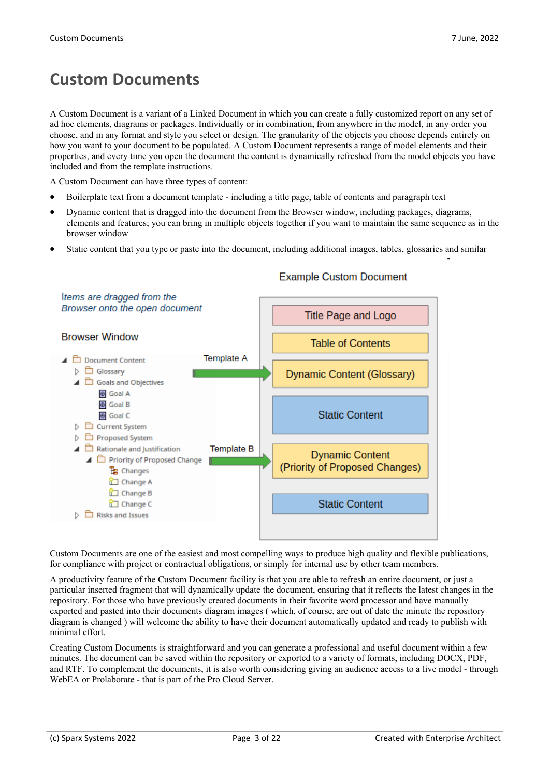# **Custom Documents**

A Custom Document is a variant of a Linked Document in which you can create a fully customized report on any set of ad hoc elements, diagrams or packages. Individually or in combination, from anywhere in the model, in any order you choose, and in any format and style you select or design. The granularity of the objects you choose depends entirely on how you want to your document to be populated. A Custom Document represents a range of model elements and their properties, and every time you open the document the contentis dynamically refreshed from the model objects you have included and from the template instructions.

A Custom Document can have three types of content:

- Boilerplate text from a document template including a title page, table of contents and paragraph text
- Dynamic content that is dragged into the document from the Browser window, including packages, diagrams, elements and features; you can bring in multiple objects together if you want to maintain the same sequence as in the browser window
- Static content that you type or paste into the document, including additional images, tables, glossaries and similar



#### **Example Custom Document**

Custom Documents are one of the easiest and most compelling ways to produce high quality and flexible publications, for compliance with project or contractual obligations, or simply for internal use by other team members.

A productivity feature of the Custom Document facility is that you are able to refresh an entire document, or just a particular inserted fragment that will dynamically update the document, ensuring that it reflects the latest changes in the repository. For those who have previously created documents in their favorite word processor and have manually exported and pasted into their documents diagram images ( which, of course, are out of date the minute the repository diagram is changed ) will welcome the ability to have their document automatically updated and ready to publish with minimal effort.

Creating Custom Documents is straightforward and you can generate a professional and useful document within a few minutes. The document can be saved within the repository or exported to a variety of formats, including DOCX, PDF, and RTF. To complement the documents, it is also worth considering giving an audience access to a live model - through WebEA or Prolaborate - that is part of the Pro Cloud Server.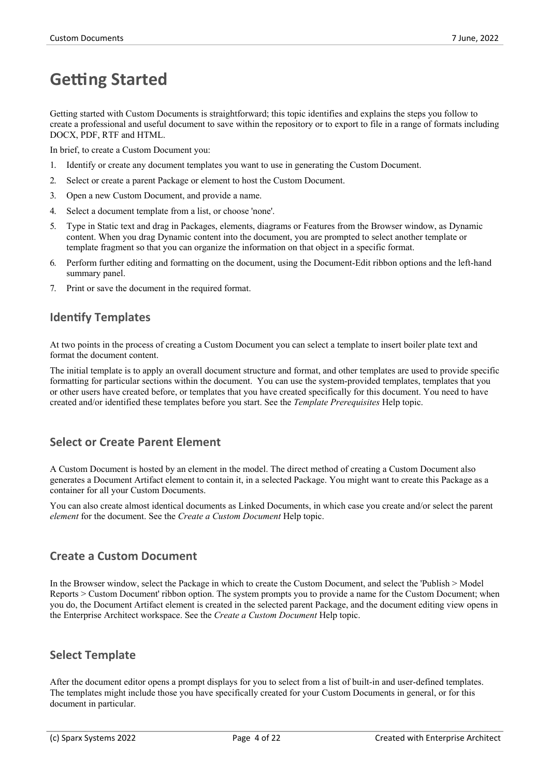# **Getting Started**

Getting started with Custom Documents is straightforward; this topic identifies and explains the steps you follow to create a professional and useful document to save within the repository or to export to file in a range of formats including DOCX, PDF, RTF and HTML.

In brief, to create a Custom Document you:

- 1. Identify or create any document templates you want to use in generating the Custom Document.
- 2. Select or create a parent Package or element to host the Custom Document.
- 3. Open a new Custom Document, and provide a name.
- 4. Select a document template from a list, or choose 'none'.
- 5. Type in Static text and drag in Packages, elements, diagrams or Features from the Browser window, as Dynamic content. When you drag Dynamic content into the document, you are prompted to select another template or template fragment so that you can organize the information on that object in a specific format.
- 6. Perform further editing and formatting on the document, using the Document-Edit ribbon options and the left-hand summary panel.
- 7. Print or save the document in the required format.

### **Identify Templates**

At two points in the process of creating a Custom Document you can select a template to insert boiler plate text and format the document content.

The initial template is to apply an overall document structure and format, and other templates are used to provide specific formatting for particular sections within the document. You can use the system-provided templates, templates that you or other users have created before, or templates that you have created specifically for this document. You need to have created and/or identified these templates before you start. See the *Template Prerequisites* Help topic.

#### **Select or Create Parent Element**

A Custom Document is hosted by an element in the model. The direct method of creating a Custom Document also generates a Document Artifact element to contain it, in a selected Package. You might want to create this Package as a container for all your Custom Documents.

You can also create almost identical documents as Linked Documents, in which case you create and/or select the parent *element* for the document. See the *Create a Custom Document* Help topic.

### **Create a Custom Document**

In the Browser window, select the Package in which to create the Custom Document, and select the 'Publish > Model Reports > Custom Document' ribbon option. The system prompts youto provide a name for the Custom Document; when you do, the Document Artifact element is created in the selected parent Package, and the document editing view opens in the Enterprise Architect workspace. See the *Create a Custom Document* Help topic.

### **Select Template**

After the document editor opens a prompt displays for you to select from a list of built-in and user-defined templates. The templates might include those you have specifically created for your Custom Documents in general, or for this document in particular.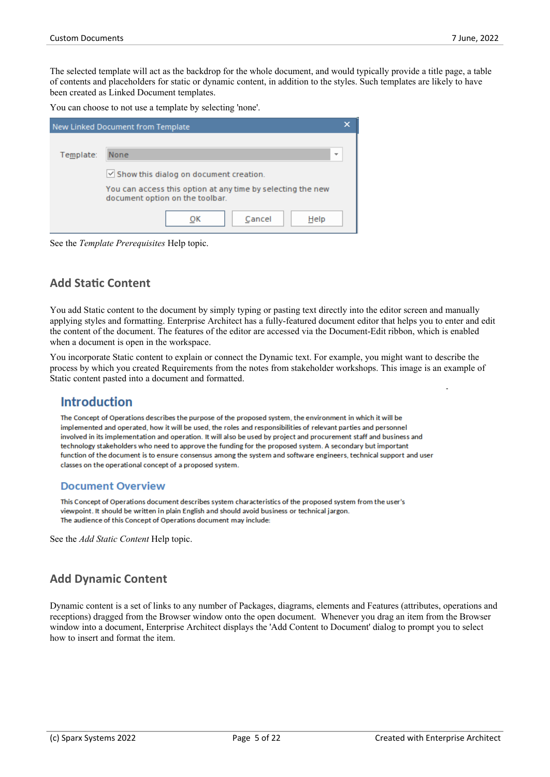The selected template will act as the backdrop for the whole document, and would typically provide a title page, a table of contents and placeholders for static or dynamic content, in addition to the styles. Such templates are likely to have been created as Linked Document templates.

You can choose to not use a template by selecting 'none'.

|           | New Linked Document from Template                                                              |  |
|-----------|------------------------------------------------------------------------------------------------|--|
|           |                                                                                                |  |
| Template: | <b>None</b><br>$\overline{\phantom{a}}$                                                        |  |
|           | $\vee$ Show this dialog on document creation.                                                  |  |
|           | You can access this option at any time by selecting the new<br>document option on the toolbar. |  |
|           | Cancel<br>Help                                                                                 |  |

See the *Template Prerequisites* Help topic.

### **Add Static Content**

You add Static content to the document by simply typing or pasting text directly into the editor screen and manually applying styles and formatting. Enterprise Architect has a fully-featured document editor that helps you to enter and edit the content of the document. The features of the editor are accessed via the Document-Edit ribbon, which is enabled when a document is open in the workspace.

You incorporate Static content to explain or connect the Dynamic text. For example, you might want to describe the process by which you created Requirements from the notes from stakeholder workshops. This image is an example of Static content pasted into a document and formatted.

### **Introduction**

The Concept of Operations describes the purpose of the proposed system, the environment in which it will be implemented and operated, how it will be used, the roles and responsibilities of relevant parties and personnel involved in its implementation and operation. It will also be used by project and procurement staff and business and technology stakeholders who need to approve the funding for the proposed system. A secondary but important function of the document is to ensure consensus among the system and software engineers, technical support and user classes on the operational concept of a proposed system.

#### **Document Overview**

This Concept of Operations document describes system characteristics of the proposed system from the user's viewpoint. It should be written in plain English and should avoid business or technical jargon. The audience of this Concept of Operations document may include:

See the *Add Static Content* Help topic.

#### **Add Dynamic Content**

Dynamic contentis a set of links to any number of Packages, diagrams, elements and Features (attributes, operations and receptions) dragged from the Browser window onto the open document. Whenever you drag an item from the Browser window into a document, Enterprise Architect displays the 'Add Content to Document' dialog to prompt you to select how to insert and format the item.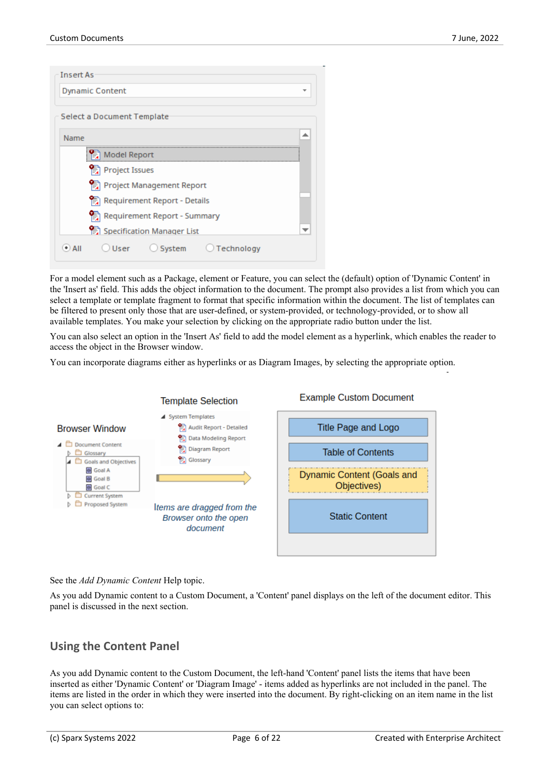| <b>Insert As</b>                                |  |  |  |  |
|-------------------------------------------------|--|--|--|--|
| <b>Dynamic Content</b>                          |  |  |  |  |
| Select a Document Template                      |  |  |  |  |
| Name                                            |  |  |  |  |
| <b>Model Report</b>                             |  |  |  |  |
| <b>骨 Project Issues</b>                         |  |  |  |  |
| <b>骨 Project Management Report</b>              |  |  |  |  |
| Requirement Report - Details                    |  |  |  |  |
| Requirement Report - Summary                    |  |  |  |  |
| 图 Specification Manager List                    |  |  |  |  |
| ○ User ○ System ○ Technology<br>$\bullet$ ) All |  |  |  |  |

For a model element such as a Package, element or Feature, you can select the (default) option of 'Dynamic Content' in the 'Insert as' field. This adds the object information to the document. The promptalso provides a list from which you can select a template or template fragment to format that specific information within the document. The list of templates can be filtered to present only those that are user-defined, or system-provided, or technology-provided, or to show all available templates. You make your selection by clicking on the appropriate radio button under the list.

You can also select an option in the 'Insert As' field to add the model element as a hyperlink, which enables the reader to access the object in the Browser window.

You can incorporate diagrams either as hyperlinks or as Diagram Images, by selecting the appropriate option.



#### See the *Add Dynamic Content* Help topic.

As you add Dynamic content to a Custom Document, a 'Content' panel displays on the left of the document editor. This panel is discussed in the next section.

#### **Using the Content Panel**

As you add Dynamic content to the Custom Document, the left-hand 'Content' panel lists the items that have been inserted as either 'Dynamic Content' or 'Diagram Image' - items added as hyperlinks are not included in the panel. The items are listed in the order in which they were inserted into the document. By right-clicking on an item name in the list you can select options to: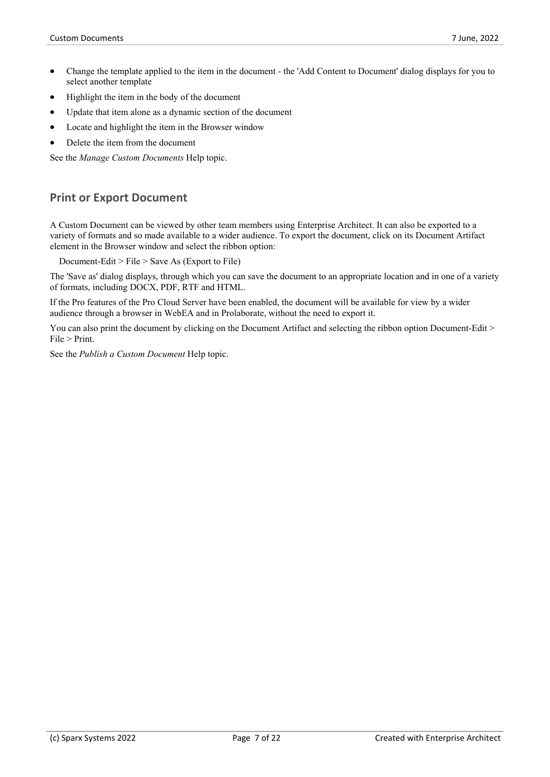- · Change the template applied to the item in the document the 'Add Content to Document' dialog displays for you to select another template
- Highlight the item in the body of the document
- Update that item alone as a dynamic section of the document
- Locate and highlight the item in the Browser window
- Delete the item from the document

See the *Manage Custom Documents* Help topic.

### **Print or Export Document**

A Custom Document can be viewed by other team members using Enterprise Architect. It can also be exported to a variety of formats and so made available to a wider audience. To export the document, click on its Document Artifact element in the Browser window and select the ribbon option:

Document-Edit > File > Save As (Export to File)

The 'Save as' dialog displays, through which you can save the document to an appropriate location and in one of a variety of formats, including DOCX, PDF, RTF and HTML.

If the Pro features ofthe Pro Cloud Server have been enabled, the document will be available for view by a wider audience through a browser in WebEA and in Prolaborate, without the need to export it.

You can also print the document by clicking on the Document Artifact and selecting the ribbon option Document-Edit > File > Print.

See the *Publish a Custom Document* Help topic.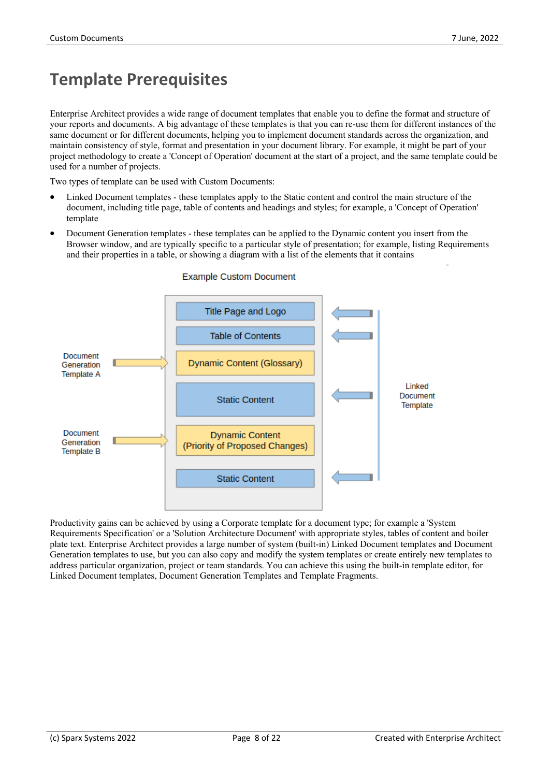# **Template Prerequisites**

Enterprise Architect provides a wide range of document templates that enable you to define the format and structure of your reports and documents.A big advantage of these templates is that you can re-use them for different instances ofthe same document or for different documents, helping you to implement document standards across the organization, and maintain consistency of style, format and presentation in your document library. For example, it might be part of your project methodology to create a 'Concept of Operation' document at the start of a project, and the same template could be used for a number of projects.

Two types of template can be used with Custom Documents:

- Linked Document templates these templates apply to the Static content and control the main structure of the document, including title page, table of contents and headings and styles; for example, a 'Concept of Operation' template
- Document Generation templates these templates can be applied to the Dynamic content you insert from the Browser window, and are typically specific to a particular style of presentation; for example, listing Requirements and their properties in a table, or showing a diagram with a list of the elements that it contains



#### **Example Custom Document**

Productivity gains can be achieved by using a Corporate template for a document type; for example a 'System Requirements Specification' or a 'Solution Architecture Document' with appropriate styles, tables of content and boiler plate text. Enterprise Architect provides a large number of system (built-in) Linked Document templates and Document Generation templates to use, but you can also copy and modify the system templates or create entirely new templates to address particular organization, project or team standards. You can achieve this using the built-in template editor, for Linked Document templates, Document Generation Templates and Template Fragments.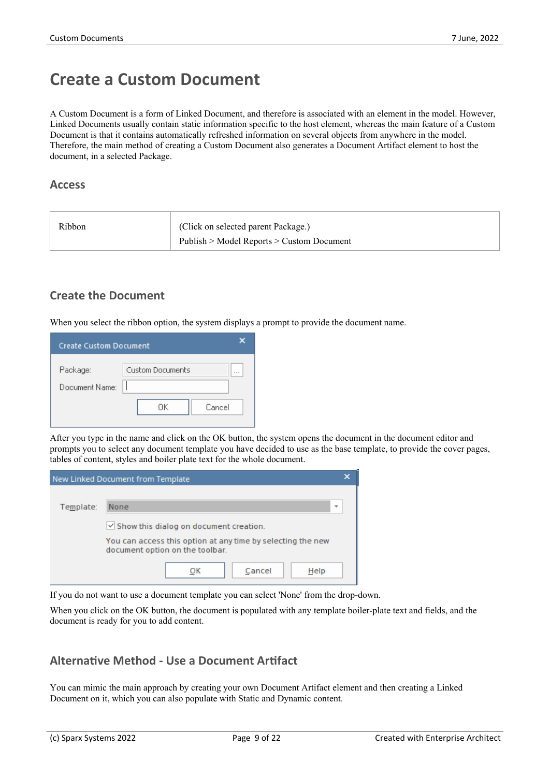# **Create a Custom Document**

A Custom Document is a form of Linked Document, and therefore is associated with an element in the model. However, Linked Documents usually contain static information specific to the host element, whereas the main feature of a Custom Document is that it contains automatically refreshed information on several objects from anywhere in the model. Therefore, the main method of creating a Custom Document also generates a Document Artifact element to host the document, in a selected Package.

#### **Access**

| Ribbon | (Click on selected parent Package.)       |
|--------|-------------------------------------------|
|        | Publish > Model Reports > Custom Document |

#### **Create the Document**

When you select the ribbon option, the system displays a prompt to provide the document name.

| <b>Create Custom Document</b> |                         |                      |  |
|-------------------------------|-------------------------|----------------------|--|
| Package:                      | <b>Custom Documents</b> | $\sim$ $\sim$ $\sim$ |  |
| Document Name:                |                         |                      |  |
|                               | Cancel<br>ΠK            |                      |  |

After you type in the name and click on the OK button, the system opens the document in the document editor and prompts you to select any document template you have decided to use as the base template, to provide the cover pages, tables of content, styles and boiler plate text for the whole document.

|           | New Linked Document from Template                                                              |  |
|-----------|------------------------------------------------------------------------------------------------|--|
| Template: | None<br>$\overline{\phantom{a}}$                                                               |  |
|           | $\vee$ Show this dialog on document creation.                                                  |  |
|           | You can access this option at any time by selecting the new<br>document option on the toolbar. |  |
|           | Cancel<br>Help                                                                                 |  |

If you do not want to use a document template you can select'None' from the drop-down.

When you click on the OK button, the document is populated with any template boiler-plate text and fields, and the document is ready for you to add content.

#### **Alternative Method - Use a Document Artifact**

You can mimic the main approach by creating your own Document Artifact element and then creating a Linked Document on it, which you can also populate with Static and Dynamic content.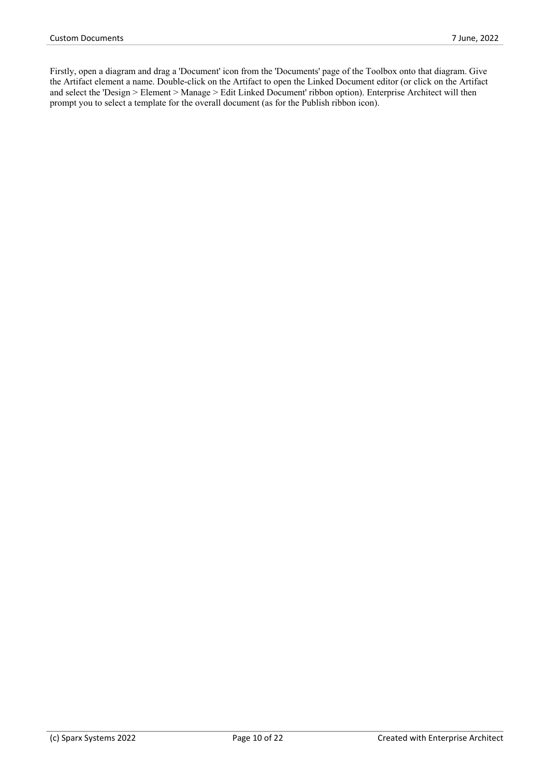Firstly, open a diagram and drag a 'Document' icon from the 'Documents' page of the Toolbox onto that diagram. Give the Artifact element a name. Double-click on the Artifact to open the Linked Document editor (or click on the Artifact and select the 'Design > Element > Manage > Edit Linked Document' ribbon option). Enterprise Architect will then prompt you to select a template for the overall document (as for the Publish ribbon icon).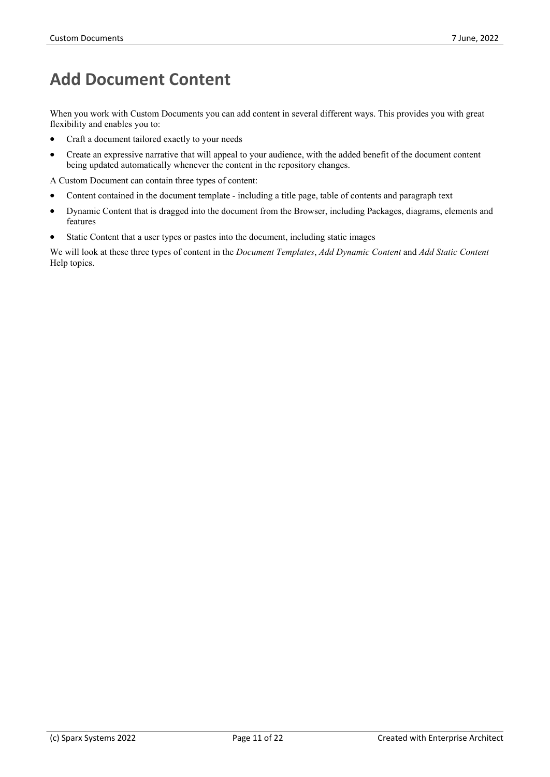# **Add Document Content**

When you work with Custom Documents you can add content in several different ways. This provides you with great flexibility and enables you to:

- · Craft a document tailored exactly to your needs
- · Create an expressive narrative that will appeal to your audience, with the added benefit of the document content being updated automatically whenever the content in the repository changes.

A Custom Document can contain three types of content:

- Content contained in the document template including a title page, table of contents and paragraph text
- · Dynamic Content that is dragged into the document from the Browser, including Packages, diagrams, elements and features
- Static Content that a user types or pastes into the document, including static images

We will look at these three types of content in the *Document Templates*, *Add Dynamic Content* and *Add Static Content* Help topics.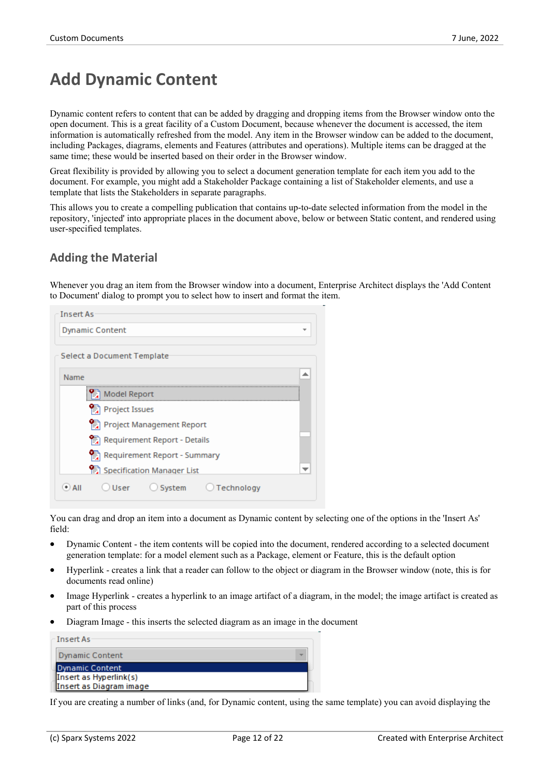# **Add Dynamic Content**

Dynamic content refers to content that can be added by dragging and dropping items from the Browser window onto the open document. This is a great facility of a Custom Document, because whenever the document is accessed, the item information is automatically refreshed from the model. Any item in the Browser window can be added to the document, including Packages, diagrams, elements and Features (attributes and operations). Multiple items can be dragged at the same time; these would be inserted based on their order in the Browser window.

Great flexibility is provided by allowing you to select a document generation template for each item you add to the document. For example, you might add a Stakeholder Package containing a list of Stakeholder elements, and use a template that lists the Stakeholders in separate paragraphs.

This allows you to create a compelling publication that contains up-to-date selected information from the model inthe repository, 'injected' into appropriate places in the document above, below or between Static content, and rendered using user-specified templates.

### **Adding the Material**

Whenever you drag an item from the Browser window into a document, Enterprise Architect displays the 'Add Content to Document' dialog to prompt you to select how to insert and format the item.

| <b>Insert As</b>                                |  |  |  |  |
|-------------------------------------------------|--|--|--|--|
| <b>Dynamic Content</b><br>÷                     |  |  |  |  |
| Select a Document Template                      |  |  |  |  |
| Name                                            |  |  |  |  |
| Model Report                                    |  |  |  |  |
| <b>骨 Project Issues</b>                         |  |  |  |  |
| <b>骨 Project Management Report</b>              |  |  |  |  |
| 景 Requirement Report - Details                  |  |  |  |  |
| 응 Requirement Report - Summary                  |  |  |  |  |
| 图 Specification Manager List                    |  |  |  |  |
| ○ User ○ System ○ Technology<br>$\bullet$ ) All |  |  |  |  |

You can drag and drop an item into a document as Dynamic content by selecting one of the options in the 'InsertAs' field:

- Dynamic Content the item contents will be copied into the document, rendered according to a selected document generation template: for a model element such as a Package, element or Feature, this is the default option
- Hyperlink creates a link that a reader can follow to the object or diagram in the Browser window (note, this is for documents read online)
- · Image Hyperlink creates a hyperlink to an image artifact of a diagram, in the model; the image artifact is created as part of this process
- Diagram Image this inserts the selected diagram as an image in the document

| - Insert As-            |  |  |  |
|-------------------------|--|--|--|
| <b>Dynamic Content</b>  |  |  |  |
| Dynamic Content         |  |  |  |
| Insert as Hyperlink(s)  |  |  |  |
| Insert as Diagram image |  |  |  |

If you are creating a number of links (and, for Dynamic content, using the same template) you can avoid displaying the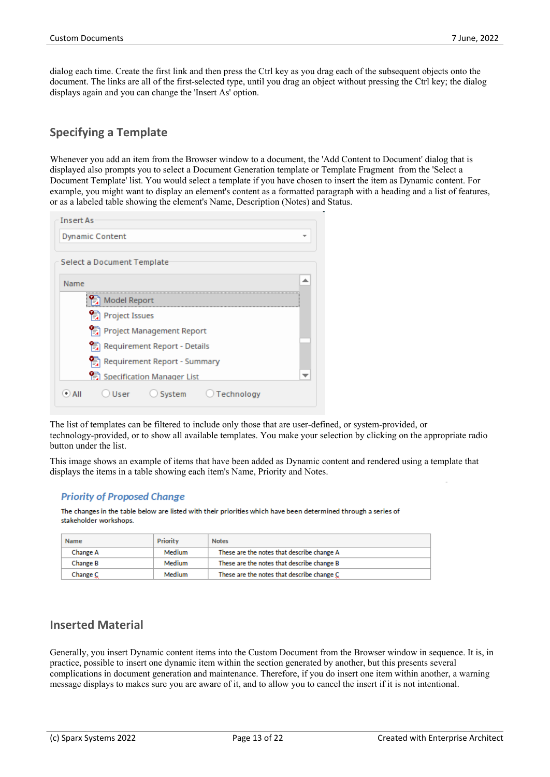dialog each time. Create the first link and then press the Ctrl key as you drag each of the subsequent objects onto the document. The links are all of the first-selected type, until you drag an object without pressing the Ctrl key; the dialog displays again and you can change the 'Insert As' option.

### **Specifying a Template**

Whenever you add an item from the Browser window to a document, the 'Add Content to Document' dialog that is displayed also prompts you to select a Document Generation template or Template Fragment from the 'Select a Document Template' list. You would select a template if you have chosen to insert the item as Dynamic content. For example, you might want to display an element's content as a formatted paragraph with a heading and a list of features, or as a labeled table showing the element's Name, Description (Notes)and Status.

| <b>Insert As</b>                                |  |  |  |  |  |
|-------------------------------------------------|--|--|--|--|--|
| <b>Dynamic Content</b>                          |  |  |  |  |  |
| Select a Document Template                      |  |  |  |  |  |
| Name                                            |  |  |  |  |  |
| <b>Model Report</b>                             |  |  |  |  |  |
| <b>骨 Project Issues</b>                         |  |  |  |  |  |
| Project Management Report                       |  |  |  |  |  |
| Requirement Report - Details                    |  |  |  |  |  |
| 号 Requirement Report - Summary                  |  |  |  |  |  |
| 图 Specification Manager List                    |  |  |  |  |  |
| $\bullet$ ) All<br>○ User ○ System ○ Technology |  |  |  |  |  |

The list of templates can be filtered to include only those that are user-defined, or system-provided, or technology-provided, or to show all available templates. You make yourselection by clicking on the appropriate radio button under the list.

This image shows an example of items that have been added as Dynamic contentand rendered using a template that displays the items in a table showing each item's Name, Priority and Notes.

#### **Priority of Proposed Change**

The changes in the table below are listed with their priorities which have been determined through a series of stakeholder workshops.

| Name     | Priority      | <b>Notes</b>                               |
|----------|---------------|--------------------------------------------|
| Change A | <b>Medium</b> | These are the notes that describe change A |
| Change B | Medium        | These are the notes that describe change B |
| Change C | Medium        | These are the notes that describe change C |

#### **Inserted Material**

Generally, you insert Dynamic content items into the Custom Document from the Browser window in sequence. It is, in practice, possible to insert one dynamic item within the section generated by another, but this presents several complications in document generation and maintenance. Therefore, if you do insert one item within another, a warning message displays to makes sure you are aware of it, and to allow you to cancel the insert if it is not intentional.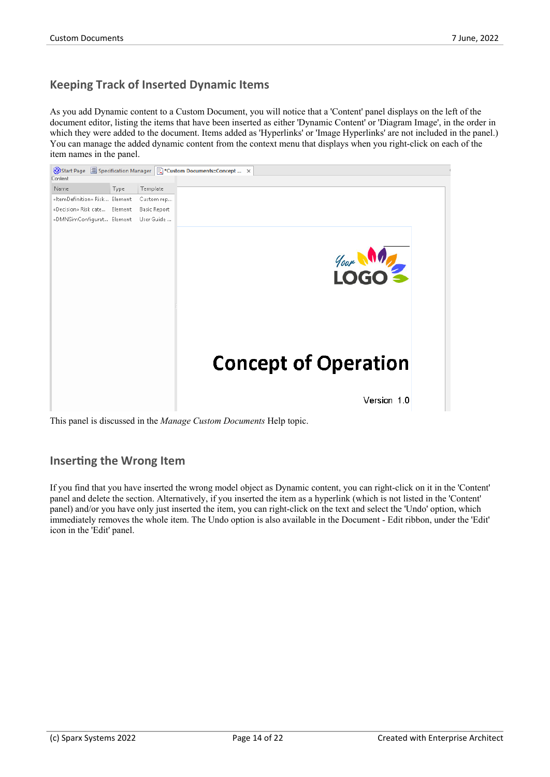# **Keeping Track of Inserted Dynamic Items**

As you add Dynamic content to a Custom Document, you will notice that a 'Content' panel displays on the left of the document editor, listing the items that have been inserted as either 'Dynamic Content' or 'Diagram Image', in the order in which they were added to the document. Items added as 'Hyperlinks' or 'Image Hyperlinks' are not included in the panel.) You can manage the added dynamic content from the context menu that displays when you right-click on each of the item names in the panel.



This panel is discussed in the *Manage Custom Documents* Help topic.

#### **Inserting the Wrong Item**

If you find that you have inserted the wrong model object as Dynamic content, you can right-click on it in the 'Content' panel and delete the section. Alternatively, if you inserted the item as a hyperlink (which is not listed in the 'Content' panel) and/or you have only just inserted the item, you can right-click on the text and select the 'Undo' option, which immediately removes the whole item. The Undo option is also available in the Document - Edit ribbon, under the 'Edit' icon in the 'Edit' panel.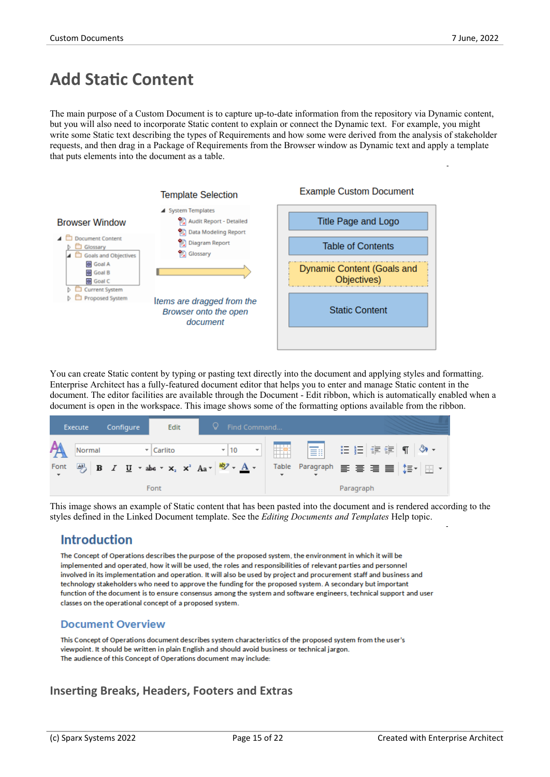# **Add Static Content**

The main purpose of a Custom Document is to capture up-to-date information from the repository via Dynamic content, but you will also need to incorporate Static contentto explain or connect the Dynamic text. For example, you might write some Static text describing the types of Requirements and how some were derived from the analysis of stakeholder requests, and then drag in a Package of Requirements from the Browser window as Dynamic text and apply a template that puts elements into the document as a table.



You can create Static content by typing or pasting text directly into the document and applying styles and formatting. Enterprise Architect has a fully-featured document editor that helps you to enter and manage Static content in the document. The editor facilities are available through the Document - Edit ribbon, which is automatically enabled when a document is open in the workspace. This image shows some of the formatting options available from the ribbon.

| Execute                                                                                                                                                                                                           | Configure                    | Edit | V Find Command               |             |                                                              |  |
|-------------------------------------------------------------------------------------------------------------------------------------------------------------------------------------------------------------------|------------------------------|------|------------------------------|-------------|--------------------------------------------------------------|--|
| Normal<br>Font $\frac{ \mathbf{a} }{\sqrt{2}}$ <b>B</b> $I$ <b>U</b> $\rightarrow$ abe $\rightarrow$ $\mathbf{x}_2$ $\mathbf{x}^2$ Aa $\rightarrow$ $\frac{ \mathbf{a} }{\sqrt{2}}$ $\rightarrow$ A $\rightarrow$ | $\mathbf{r}$ Carlito<br>Font |      | $\mathbf{v}$ 10 $\mathbf{v}$ | <b>HERE</b> | 言: 日日信律  ¶   ≫・<br>Table Paragraph 三 三 三 三 【三 】<br>Paragraph |  |

This image shows an example of Static content that has been pasted into the document and is rendered according to the styles defined in the Linked Document template. See the *Editing Documents and Templates* Help topic.

# **Introduction**

The Concept of Operations describes the purpose of the proposed system, the environment in which it will be implemented and operated, how it will be used, the roles and responsibilities of relevant parties and personnel involved in its implementation and operation. It will also be used by project and procurement staff and business and technology stakeholders who need to approve the funding for the proposed system. A secondary but important function of the document is to ensure consensus among the system and software engineers, technical support and user classes on the operational concept of a proposed system.

#### **Document Overview**

This Concept of Operations document describes system characteristics of the proposed system from the user's viewpoint. It should be written in plain English and should avoid business or technical jargon. The audience of this Concept of Operations document may include:

### **Inserting Breaks, Headers, Footers and Extras**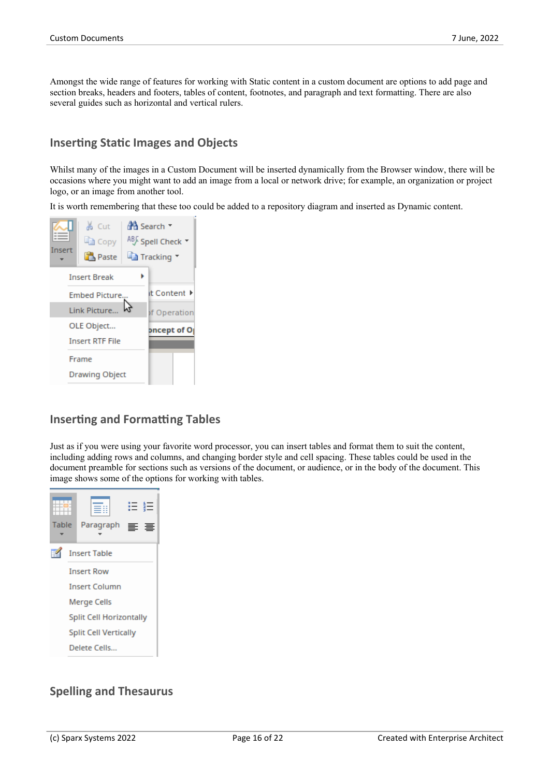Amongst the wide range of features for working with Static content in a custom document are options to add page and section breaks, headers and footers, tables of content, footnotes, and paragraph and text formatting. There are also several guides such as horizontal and vertical rulers.

#### **Inserting Static Images and Objects**

Whilst many of the images in a Custom Document will be inserted dynamically from the Browser window, there will be occasions where you might want to add an image from a local or network drive; for example, an organization or project logo, or an image from another tool.

It is worth remembering that these too could be added to a repository diagram and inserted as Dynamic content.

| ABJ Spell Check<br>lia Copy<br>Insert |  |
|---------------------------------------|--|
| <b>Paste</b><br>la Tracking *         |  |
| <b>Insert Break</b>                   |  |
| it Content ▶<br><b>Embed Picture</b>  |  |
| Link Picture<br>of Operation          |  |
| OLE Object<br>pncept of O             |  |
| <b>Insert RTF File</b>                |  |
| Frame                                 |  |
| Drawing Object                        |  |

#### **Inserting and Formatting Tables**

Just as if you were using your favorite word processor, you can insert tables and format them to suit the content, including adding rowsand columns, and changing border style and cell spacing. These tables could be used in the document preamble for sections such as versions of the document, or audience, or in the body of the document. This image shows some of the options for working with tables.



### **Spelling and Thesaurus**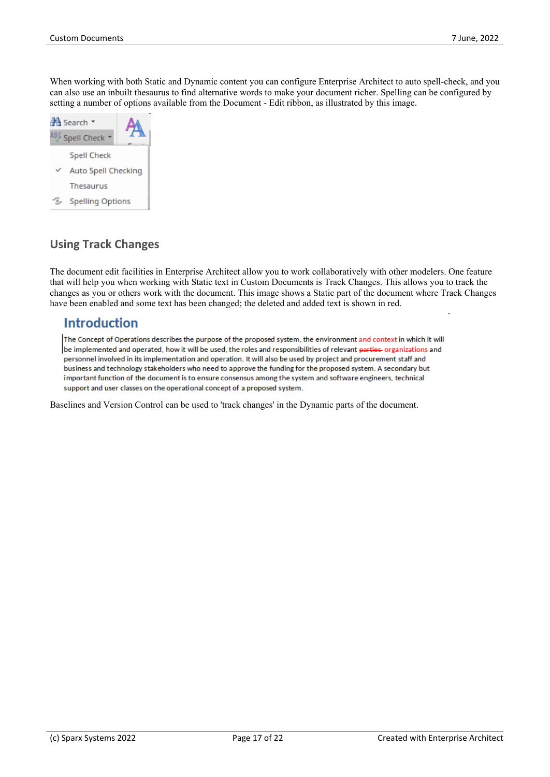When working with both Static and Dynamic contentyou can configure Enterprise Architect to auto spell-check, and you can also use an inbuilt thesaurus to find alternative words to make yourdocument richer. Spelling can be configured by setting a number of options available from the Document - Edit ribbon, as illustrated by this image.



# **Using Track Changes**

The document edit facilities in Enterprise Architect allow you to work collaboratively with other modelers. One feature that will help you when working with Static textin Custom Documents is Track Changes. This allows you to track the changes as you or others work with the document. This image shows a Static part of the document where Track Changes have been enabled and some text has been changed; the deleted and added text is shown in red.

# **Introduction**

The Concept of Operations describes the purpose of the proposed system, the environment and context in which it will be implemented and operated, how it will be used, the roles and responsibilities of relevant parties- organizations and personnel involved in its implementation and operation. It will also be used by project and procurement staff and business and technology stakeholders who need to approve the funding for the proposed system. A secondary but important function of the document is to ensure consensus among the system and software engineers, technical support and user classes on the operational concept of a proposed system.

Baselines and Version Control can be used to 'track changes' in the Dynamic parts of the document.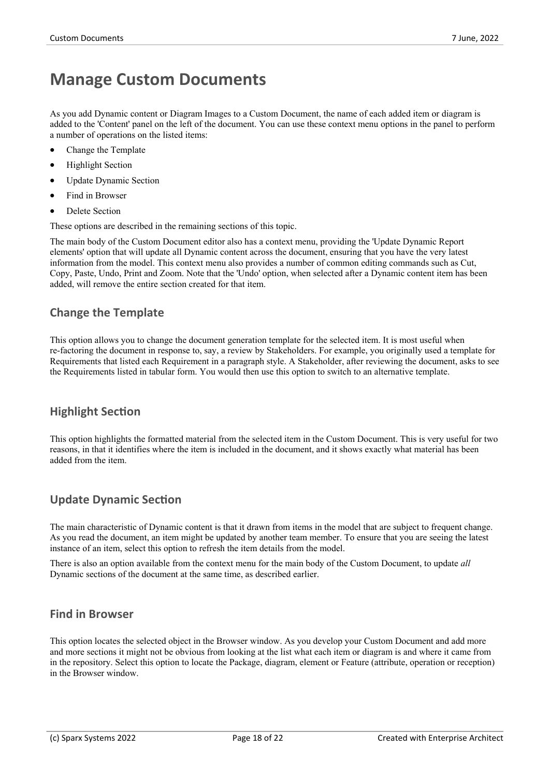# **Manage Custom Documents**

As you add Dynamic content or Diagram Images to a Custom Document, the name of each added item or diagram is added to the 'Content' panel on the left of the document. You can use these context menu options in the panel to perform a number of operations on the listed items:

- · Change the Template
- **Highlight Section**
- Update Dynamic Section
- Find in Browser
- · Delete Section

These options are described in the remaining sections of this topic.

The main body of the Custom Document editor also has a context menu, providing the 'Update Dynamic Report elements' option that will update all Dynamic content across the document, ensuring that you have the very latest information from the model. This context menu also provides a number of common editing commands such as Cut, Copy, Paste, Undo, Print and Zoom. Note that the 'Undo' option, when selected after a Dynamic content item has been added, will remove the entire section created for that item.

### **Change the Template**

This option allows you to change the document generation template for the selected item. It is most useful when re-factoring the document in response to, say, a review by Stakeholders. For example, you originally used a template for Requirements that listed each Requirement in a paragraph style. A Stakeholder, after reviewing the document, asks to see the Requirements listed in tabular form. You would then use this option to switch to an alternative template.

### **Highlight Section**

This option highlights the formatted material from the selected item in the Custom Document. This is very useful for two reasons, in that it identifies where the item is included in the document, and it shows exactly what material has been added from the item.

## **Update Dynamic Section**

The main characteristic of Dynamic content is that it drawn from items in the model that are subject to frequent change. As you read the document, an item might be updated by another team member. To ensure that you are seeing the latest instance of an item, select this option to refresh the item details from the model.

There is also an option available from the context menu for the main body of the Custom Document, to update *all* Dynamic sections of the document at the same time, as described earlier.

#### **Find in Browser**

This option locates the selected object in the Browser window. As you develop your Custom Document and add more and more sections it might not be obvious from looking at the list whateach item or diagram is and where it came from in the repository. Select this option to locate the Package, diagram, element or Feature (attribute, operation or reception) in the Browser window.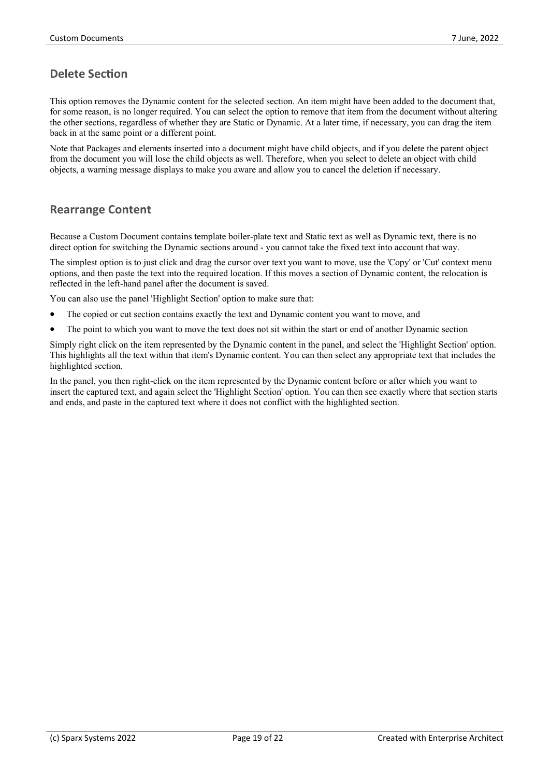### **Delete Section**

This option removes the Dynamic content for the selected section. An item might have been added to the document that, for some reason, is no longer required. You can select the option to remove that item from the document without altering the other sections, regardless of whether they are Static or Dynamic. At a later time, if necessary, you can drag the item back in at the same point or a different point.

Note that Packages and elements inserted into a document might have child objects, and if you delete the parent object from the document you will lose the child objects as well. Therefore, when you select to delete an object with child objects, a warning message displays to make you aware and allow you to cancel the deletion if necessary.

### **Rearrange Content**

Because a Custom Document contains template boiler-plate text and Static text as well as Dynamic text, there is no direct option for switching the Dynamic sections around - you cannot take the fixed text into account that way.

The simplest option is to just click and drag the cursor over text you want to move, use the 'Copy' or 'Cut' context menu options, and then paste the text into the required location. If this moves a section of Dynamic content, the relocation is reflected in the left-hand panel after the document is saved.

You can also use the panel 'Highlight Section' option to make sure that:

- The copied or cut section contains exactly the text and Dynamic content you want to move, and
- The point to which you want to move the text does not sit within the start or end of another Dynamic section

Simply right click on the item represented by the Dynamic content in the panel, and select the 'Highlight Section' option. This highlights all the text within that item's Dynamic content. You can then select any appropriate text that includes the highlighted section.

In the panel, you then right-click on the item represented by the Dynamic content before or after which you want to insert the captured text, and again select the 'Highlight Section' option. You can then see exactly where that section starts and ends, and paste in the captured text where it does not conflict with the highlighted section.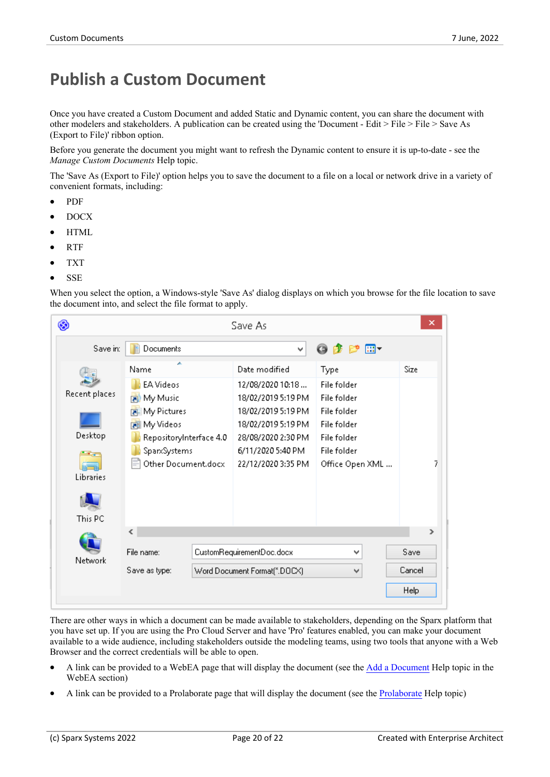# **Publish a Custom Document**

Once you have created a Custom Document and added Static and Dynamic content, you can share the document with other modelers and stakeholders. A publication can be created using the 'Document - Edit > File > File > Save As (Export to File)' ribbon option.

Before you generate the document you might want to refresh the Dynamic contentto ensure it is up-to-date - see the *Manage Custom Documents* Help topic.

The 'Save As (Export to File)' option helps you to save the document to a file on a local or network drive in a variety of convenient formats, including:

- · PDF
- · DOCX
- · HTML
- · RTF
- · TXT
- · SSE

When you select the option, a Windows-style 'Save As' dialog displays on which you browse for the file location to save the document into, and select the file format to apply.

| ⊛             |                                                      |  | Save As                                                      |                                           | ×      |
|---------------|------------------------------------------------------|--|--------------------------------------------------------------|-------------------------------------------|--------|
| Save in:      | Documents                                            |  | v                                                            |                                           |        |
|               | ▴<br>Name                                            |  | Date modified                                                | Type                                      | Size   |
| Recent places | <b>EA Videos</b><br><b>P</b> My Music<br>My Pictures |  | 12/08/2020 10:18<br>18/02/2019 5:19 PM<br>18/02/2019 5:19 PM | File folder<br>File folder<br>File folder |        |
| Desktop       | My Videos<br>RepositoryInterface 4.0                 |  | 18/02/2019 5:19 PM<br>28/08/2020 2:30 PM                     | File folder<br>File folder                |        |
| Libraries     | SpanxSystems<br>Other Document.docx                  |  | 6/11/2020 5:40 PM<br>22/12/2020 3:35 PM                      | File folder<br>Office Open XML            | 7      |
| This PC       |                                                      |  |                                                              |                                           |        |
|               | ∢                                                    |  |                                                              | $\rightarrow$                             |        |
| Network       | File name:                                           |  | CustomRequirementDoc.docx                                    | v                                         | Save   |
|               | Save as type:                                        |  | Word Document Format(".DOCX)                                 | $\checkmark$                              | Cancel |
|               |                                                      |  |                                                              |                                           | Help   |

There are other ways in which a document can be made available to stakeholders, depending on the Sparx platform that you have set up. If you are using the Pro Cloud Server and have 'Pro' features enabled, you can make your document available to a wide audience, including stakeholders outside the modeling teams, using two tools that anyone with a Web Browser and the correct credentials will be able to open.

- · A link can be provided to a WebEA page that will display the document (see the Add a [Document](https://sparxsystems.com/enterprise_architect_user_guide/16.0/webea_add_document.htm) Help topic in the WebEA section)
- · A link can be provided to a Prolaborate page that will display the document (see the [Prolaborate](https://sparxsystems.com/enterprise_architect_user_guide/16.0/prolaborate.htm) Help topic)